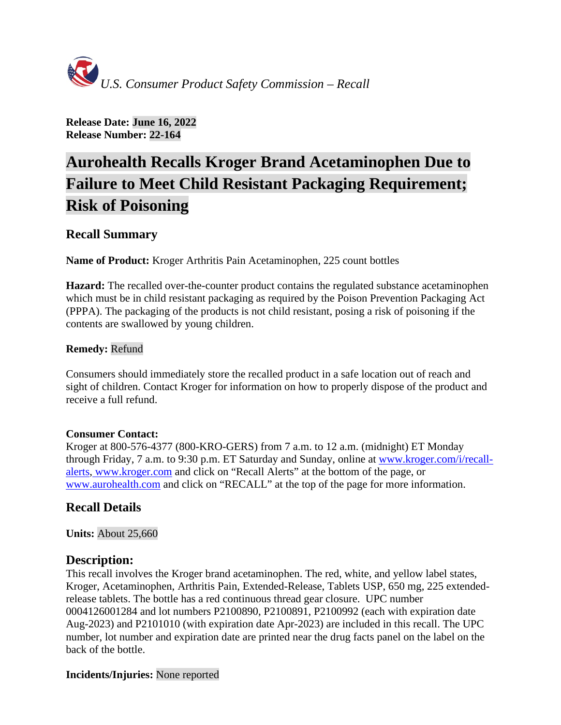

**Release Date: June 16, 2022 Release Number: 22-164**

# **Aurohealth Recalls Kroger Brand Acetaminophen Due to Failure to Meet Child Resistant Packaging Requirement; Risk of Poisoning**

# **Recall Summary**

**Name of Product:** Kroger Arthritis Pain Acetaminophen, 225 count bottles

**Hazard:** The recalled over-the-counter product contains the regulated substance acetaminophen which must be in child resistant packaging as required by the Poison Prevention Packaging Act (PPPA). The packaging of the products is not child resistant, posing a risk of poisoning if the contents are swallowed by young children.

## **Remedy:** Refund

Consumers should immediately store the recalled product in a safe location out of reach and sight of children. Contact Kroger for information on how to properly dispose of the product and receive a full refund.

#### **Consumer Contact:**

Kroger at 800-576-4377 (800-KRO-GERS) from 7 a.m. to 12 a.m. (midnight) ET Monday through Friday, 7 a.m. to 9:30 p.m. ET Saturday and Sunday, online at [www.kroger.com/i/recall](http://www.kroger.com/i/recall-alerts)[alerts,](http://www.kroger.com/i/recall-alerts) [www.kroger.com](http://www.kroger.com/) and click on "Recall Alerts" at the bottom of the page, or [www.aurohealth.com](http://www.aurohealth.com/) and click on "RECALL" at the top of the page for more information.

## **Recall Details**

**Units:** About 25,660

## **Description:**

This recall involves the Kroger brand acetaminophen. The red, white, and yellow label states, Kroger, Acetaminophen, Arthritis Pain, Extended-Release, Tablets USP, 650 mg, 225 extendedrelease tablets. The bottle has a red continuous thread gear closure. UPC number 0004126001284 and lot numbers P2100890, P2100891, P2100992 (each with expiration date Aug-2023) and P2101010 (with expiration date Apr-2023) are included in this recall. The UPC number, lot number and expiration date are printed near the drug facts panel on the label on the back of the bottle.

## **Incidents/Injuries:** None reported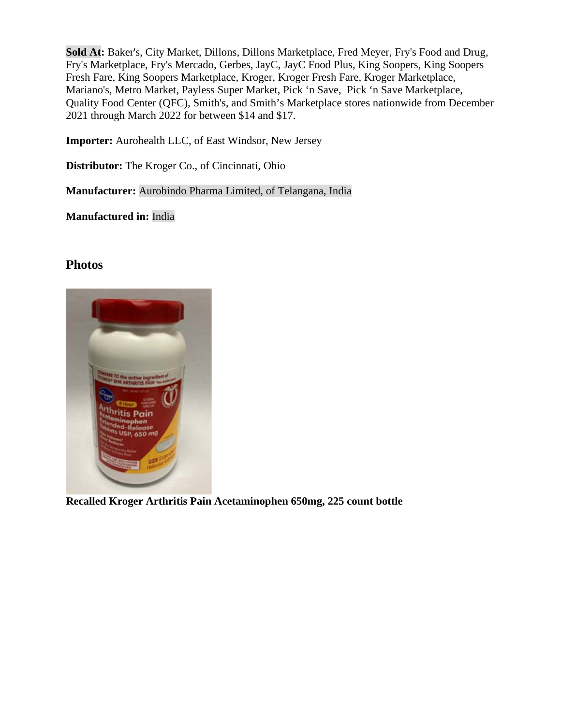**Sold At:** Baker's, City Market, Dillons, Dillons Marketplace, Fred Meyer, Fry's Food and Drug, Fry's Marketplace, Fry's Mercado, Gerbes, JayC, JayC Food Plus, King Soopers, King Soopers Fresh Fare, King Soopers Marketplace, Kroger, Kroger Fresh Fare, Kroger Marketplace, Mariano's, Metro Market, Payless Super Market, Pick 'n Save, Pick 'n Save Marketplace, Quality Food Center (QFC), Smith's, and Smith's Marketplace stores nationwide from December 2021 through March 2022 for between \$14 and \$17.

**Importer:** Aurohealth LLC, of East Windsor, New Jersey

**Distributor:** The Kroger Co., of Cincinnati, Ohio

**Manufacturer:** Aurobindo Pharma Limited, of Telangana, India

**Manufactured in:** India

## **Photos**



**Recalled Kroger Arthritis Pain Acetaminophen 650mg, 225 count bottle**